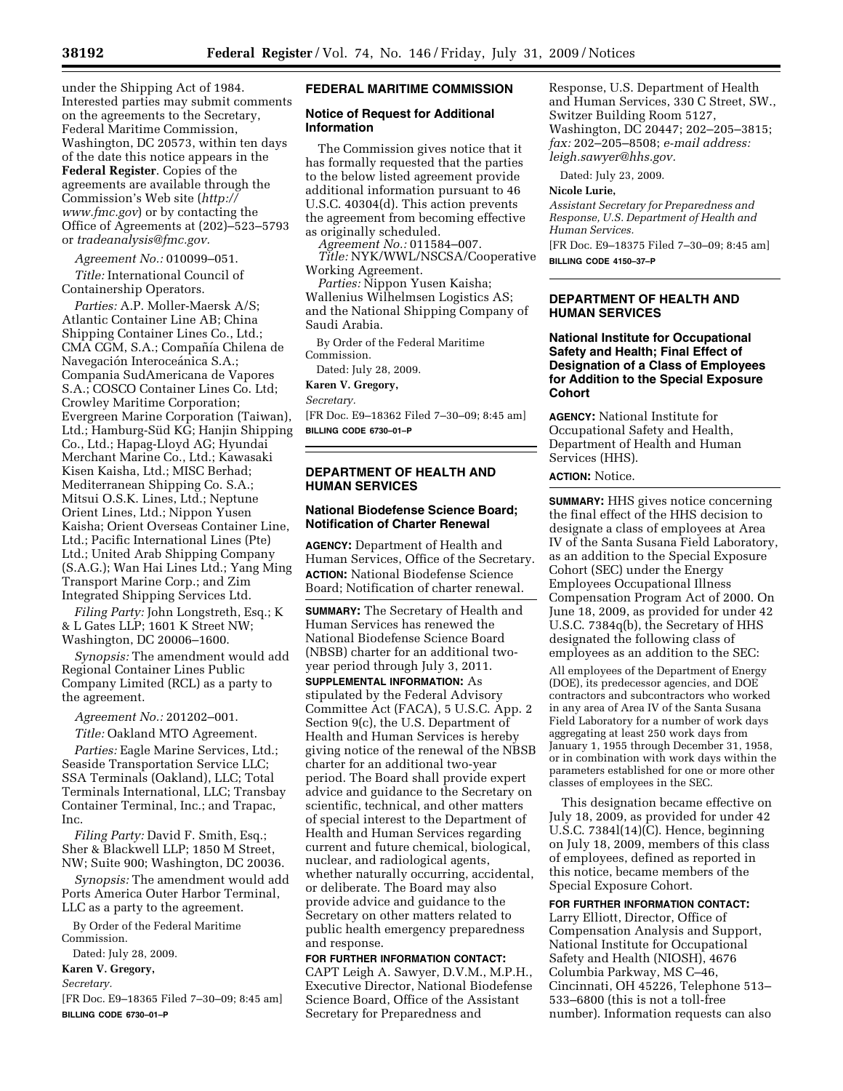under the Shipping Act of 1984. Interested parties may submit comments on the agreements to the Secretary, Federal Maritime Commission, Washington, DC 20573, within ten days of the date this notice appears in the **Federal Register**. Copies of the agreements are available through the Commission's Web site (*http:// www.fmc.gov*) or by contacting the Office of Agreements at (202)–523–5793 or *tradeanalysis@fmc.gov.* 

*Agreement No.:* 010099–051.

*Title:* International Council of Containership Operators.

*Parties:* A.P. Moller-Maersk A/S; Atlantic Container Line AB; China Shipping Container Lines Co., Ltd.; CMA CGM, S.A.; Compañía Chilena de Navegación Interoceánica S.A.; Compania SudAmericana de Vapores S.A.; COSCO Container Lines Co. Ltd; Crowley Maritime Corporation; Evergreen Marine Corporation (Taiwan), Ltd.; Hamburg-Süd KG; Hanjin Shipping Co., Ltd.; Hapag-Lloyd AG; Hyundai Merchant Marine Co., Ltd.; Kawasaki Kisen Kaisha, Ltd.; MISC Berhad; Mediterranean Shipping Co. S.A.; Mitsui O.S.K. Lines, Ltd.; Neptune Orient Lines, Ltd.; Nippon Yusen Kaisha; Orient Overseas Container Line, Ltd.; Pacific International Lines (Pte) Ltd.; United Arab Shipping Company (S.A.G.); Wan Hai Lines Ltd.; Yang Ming Transport Marine Corp.; and Zim Integrated Shipping Services Ltd.

*Filing Party:* John Longstreth, Esq.; K & L Gates LLP; 1601 K Street NW; Washington, DC 20006–1600.

*Synopsis:* The amendment would add Regional Container Lines Public Company Limited (RCL) as a party to the agreement.

*Agreement No.:* 201202–001.

*Title:* Oakland MTO Agreement.

*Parties:* Eagle Marine Services, Ltd.; Seaside Transportation Service LLC; SSA Terminals (Oakland), LLC; Total Terminals International, LLC; Transbay Container Terminal, Inc.; and Trapac, Inc.

*Filing Party:* David F. Smith, Esq.; Sher & Blackwell LLP; 1850 M Street, NW; Suite 900; Washington, DC 20036.

*Synopsis:* The amendment would add Ports America Outer Harbor Terminal, LLC as a party to the agreement.

By Order of the Federal Maritime Commission.

Dated: July 28, 2009.

**Karen V. Gregory,** 

*Secretary.* 

[FR Doc. E9–18365 Filed 7–30–09; 8:45 am] **BILLING CODE 6730–01–P** 

### **FEDERAL MARITIME COMMISSION**

### **Notice of Request for Additional Information**

The Commission gives notice that it has formally requested that the parties to the below listed agreement provide additional information pursuant to 46 U.S.C. 40304(d). This action prevents the agreement from becoming effective as originally scheduled.

*Agreement No.:* 011584–007. *Title:* NYK/WWL/NSCSA/Cooperative Working Agreement.

*Parties:* Nippon Yusen Kaisha; Wallenius Wilhelmsen Logistics AS; and the National Shipping Company of Saudi Arabia.

By Order of the Federal Maritime Commission.

Dated: July 28, 2009.

**Karen V. Gregory,** 

*Secretary.* 

[FR Doc. E9–18362 Filed 7–30–09; 8:45 am] **BILLING CODE 6730–01–P** 

## **DEPARTMENT OF HEALTH AND HUMAN SERVICES**

## **National Biodefense Science Board; Notification of Charter Renewal**

**AGENCY:** Department of Health and Human Services, Office of the Secretary. **ACTION:** National Biodefense Science Board; Notification of charter renewal.

**SUMMARY:** The Secretary of Health and Human Services has renewed the National Biodefense Science Board (NBSB) charter for an additional twoyear period through July 3, 2011.

**SUPPLEMENTAL INFORMATION:** As stipulated by the Federal Advisory Committee Act (FACA), 5 U.S.C. App. 2 Section 9(c), the U.S. Department of Health and Human Services is hereby giving notice of the renewal of the NBSB charter for an additional two-year period. The Board shall provide expert advice and guidance to the Secretary on scientific, technical, and other matters of special interest to the Department of Health and Human Services regarding current and future chemical, biological, nuclear, and radiological agents, whether naturally occurring, accidental, or deliberate. The Board may also provide advice and guidance to the Secretary on other matters related to public health emergency preparedness and response.

## **FOR FURTHER INFORMATION CONTACT:**

CAPT Leigh A. Sawyer, D.V.M., M.P.H., Executive Director, National Biodefense Science Board, Office of the Assistant Secretary for Preparedness and

Response, U.S. Department of Health and Human Services, 330 C Street, SW., Switzer Building Room 5127, Washington, DC 20447; 202–205–3815; *fax:* 202–205–8508; *e-mail address: leigh.sawyer@hhs.gov.* 

Dated: July 23, 2009.

#### **Nicole Lurie,**

*Assistant Secretary for Preparedness and Response, U.S. Department of Health and Human Services.* 

[FR Doc. E9–18375 Filed 7–30–09; 8:45 am] **BILLING CODE 4150–37–P** 

## **DEPARTMENT OF HEALTH AND HUMAN SERVICES**

## **National Institute for Occupational Safety and Health; Final Effect of Designation of a Class of Employees for Addition to the Special Exposure Cohort**

**AGENCY:** National Institute for Occupational Safety and Health, Department of Health and Human Services (HHS).

# **ACTION:** Notice.

**SUMMARY:** HHS gives notice concerning the final effect of the HHS decision to designate a class of employees at Area IV of the Santa Susana Field Laboratory, as an addition to the Special Exposure Cohort (SEC) under the Energy Employees Occupational Illness Compensation Program Act of 2000. On June 18, 2009, as provided for under 42 U.S.C. 7384q(b), the Secretary of HHS designated the following class of employees as an addition to the SEC:

All employees of the Department of Energy (DOE), its predecessor agencies, and DOE contractors and subcontractors who worked in any area of Area IV of the Santa Susana Field Laboratory for a number of work days aggregating at least 250 work days from January 1, 1955 through December 31, 1958, or in combination with work days within the parameters established for one or more other classes of employees in the SEC.

This designation became effective on July 18, 2009, as provided for under 42 U.S.C. 7384l(14)(C). Hence, beginning on July 18, 2009, members of this class of employees, defined as reported in this notice, became members of the Special Exposure Cohort.

# **FOR FURTHER INFORMATION CONTACT:**

Larry Elliott, Director, Office of Compensation Analysis and Support, National Institute for Occupational Safety and Health (NIOSH), 4676 Columbia Parkway, MS C–46, Cincinnati, OH 45226, Telephone 513– 533–6800 (this is not a toll-free number). Information requests can also